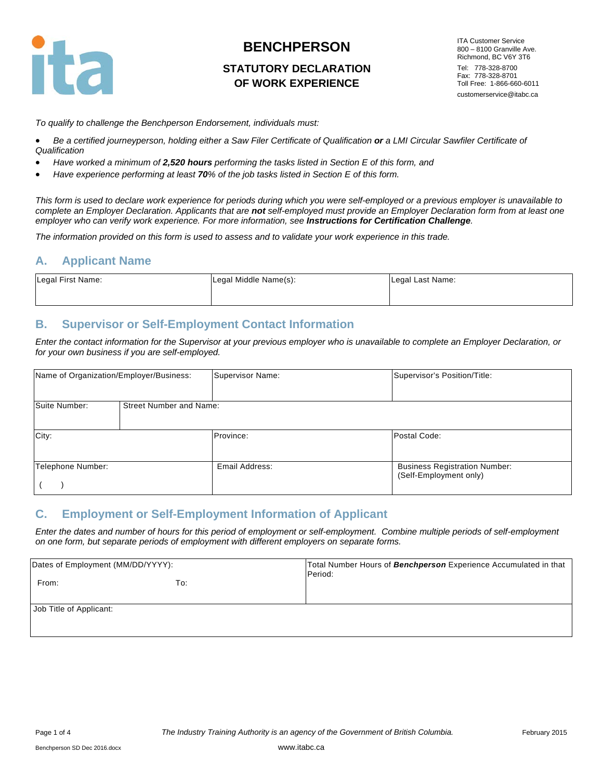

### **STATUTORY DECLARATION OF WORK EXPERIENCE**

ITA Customer Service 800 – 8100 Granville Ave. Richmond, BC V6Y 3T6 Tel: 778-328-8700 Fax: 778-328-8701 Toll Free: 1-866-660-6011 customerservice@itabc.ca

*To qualify to challenge the Benchperson Endorsement, individuals must:* 

- *Be a certified journeyperson, holding either a Saw Filer Certificate of Qualification or a LMI Circular Sawfiler Certificate of Qualification*
- *Have worked a minimum of 2,520 hours performing the tasks listed in Section E of this form, and*
- *Have experience performing at least 70% of the job tasks listed in Section E of this form.*

*This form is used to declare work experience for periods during which you were self-employed or a previous employer is unavailable to complete an Employer Declaration. Applicants that are not self-employed must provide an Employer Declaration form from at least one employer who can verify work experience. For more information, see Instructions for Certification Challenge.* 

*The information provided on this form is used to assess and to validate your work experience in this trade.* 

#### **A. Applicant Name**

| Legal First Name: | Legal Middle Name(s): | Legal Last Name: |
|-------------------|-----------------------|------------------|
|                   |                       |                  |

### **B. Supervisor or Self-Employment Contact Information**

*Enter the contact information for the Supervisor at your previous employer who is unavailable to complete an Employer Declaration, or for your own business if you are self-employed.*

| Name of Organization/Employer/Business: |                                | Supervisor Name: | Supervisor's Position/Title:                                   |
|-----------------------------------------|--------------------------------|------------------|----------------------------------------------------------------|
| Suite Number:                           | <b>Street Number and Name:</b> |                  |                                                                |
| City:                                   |                                | Province:        | Postal Code:                                                   |
| Telephone Number:                       |                                | Email Address:   | <b>Business Registration Number:</b><br>(Self-Employment only) |

### **C. Employment or Self-Employment Information of Applicant**

*Enter the dates and number of hours for this period of employment or self-employment. Combine multiple periods of self-employment on one form, but separate periods of employment with different employers on separate forms.* 

| Dates of Employment (MM/DD/YYYY): |     | Total Number Hours of Benchperson Experience Accumulated in that<br>Period: |
|-----------------------------------|-----|-----------------------------------------------------------------------------|
| From:                             | To: |                                                                             |
| Job Title of Applicant:           |     |                                                                             |
|                                   |     |                                                                             |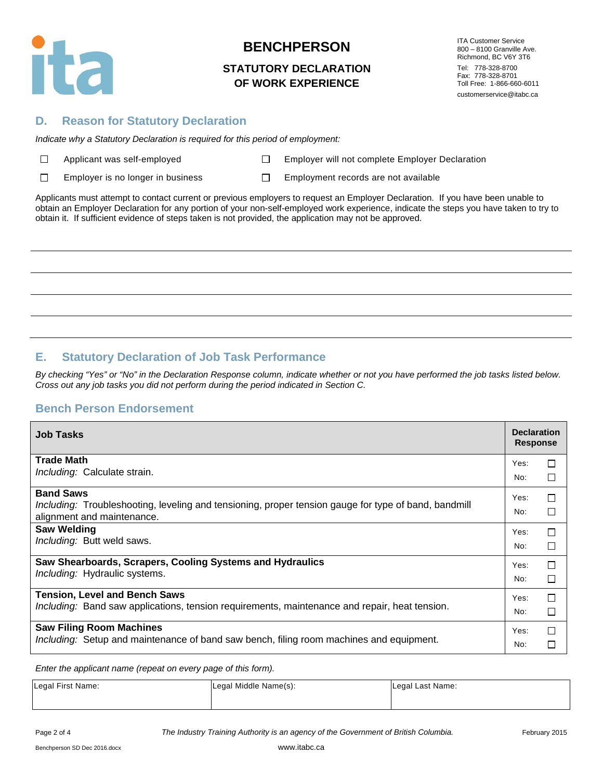

### **STATUTORY DECLARATION OF WORK EXPERIENCE**

ITA Customer Service 800 – 8100 Granville Ave. Richmond, BC V6Y 3T6 Tel: 778-328-8700 Fax: 778-328-8701 Toll Free: 1-866-660-6011 customerservice@itabc.ca

### **D. Reason for Statutory Declaration**

*Indicate why a Statutory Declaration is required for this period of employment:*

| $\Box$ |  | Applicant was self-employe |  |
|--------|--|----------------------------|--|
|--------|--|----------------------------|--|

Applicant Mapple Employer will not complete Employer Declaration

 $\Box$ Employer is no longer in business  $\square$  Employment records are not available

Applicants must attempt to contact current or previous employers to request an Employer Declaration. If you have been unable to obtain an Employer Declaration for any portion of your non-self-employed work experience, indicate the steps you have taken to try to obtain it. If sufficient evidence of steps taken is not provided, the application may not be approved.

# **E. Statutory Declaration of Job Task Performance**

*By checking "Yes" or "No" in the Declaration Response column, indicate whether or not you have performed the job tasks listed below. Cross out any job tasks you did not perform during the period indicated in Section C.*

## **Bench Person Endorsement**

| <b>Job Tasks</b>                                                                                     | <b>Declaration</b><br><b>Response</b> |        |
|------------------------------------------------------------------------------------------------------|---------------------------------------|--------|
| <b>Trade Math</b>                                                                                    | Yes:                                  | $\Box$ |
| Including: Calculate strain.                                                                         | No:                                   | □      |
| <b>Band Saws</b>                                                                                     | Yes:                                  | $\Box$ |
| Including: Troubleshooting, leveling and tensioning, proper tension gauge for type of band, bandmill | No:                                   | $\Box$ |
| alignment and maintenance.                                                                           |                                       |        |
| <b>Saw Welding</b>                                                                                   | Yes:                                  | $\Box$ |
| Including: Butt weld saws.                                                                           | No:                                   | П      |
| Saw Shearboards, Scrapers, Cooling Systems and Hydraulics                                            | Yes:                                  | $\Box$ |
| Including: Hydraulic systems.                                                                        | No:                                   | П      |
| <b>Tension, Level and Bench Saws</b>                                                                 | Yes:                                  | П      |
| Including: Band saw applications, tension requirements, maintenance and repair, heat tension.        | No:                                   | □      |
| <b>Saw Filing Room Machines</b>                                                                      | Yes:                                  | $\Box$ |
| Including: Setup and maintenance of band saw bench, filing room machines and equipment.              | No:                                   | □      |

*Enter the applicant name (repeat on every page of this form).*

| Legal First Name: | Legal Middle Name(s): | Legal Last Name: |
|-------------------|-----------------------|------------------|
|                   |                       |                  |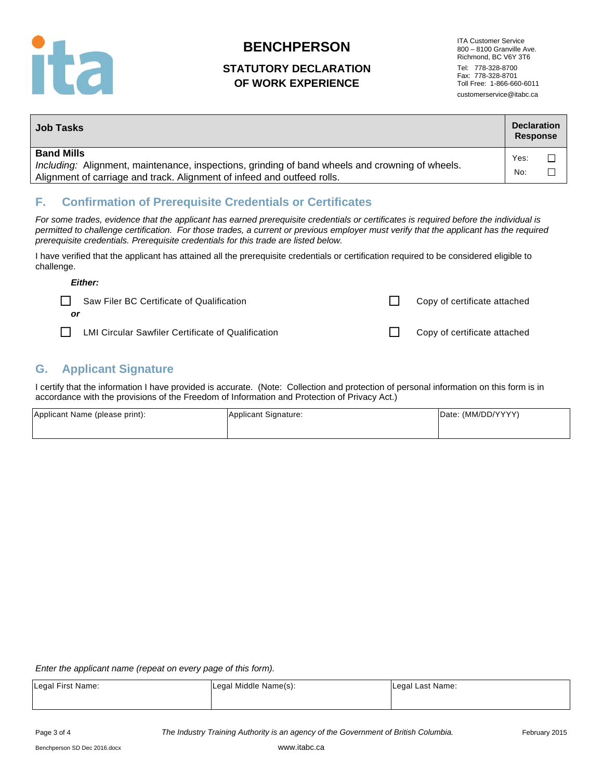

## **STATUTORY DECLARATION OF WORK EXPERIENCE**

ITA Customer Service 800 – 8100 Granville Ave. Richmond, BC V6Y 3T6 Tel: 778-328-8700 Fax: 778-328-8701 Toll Free: 1-866-660-6011 customerservice@itabc.ca

| <b>Job Tasks</b>                                                                                                                                                                                | <b>Declaration</b><br><b>Response</b> |  |
|-------------------------------------------------------------------------------------------------------------------------------------------------------------------------------------------------|---------------------------------------|--|
| <b>Band Mills</b><br>Including: Alignment, maintenance, inspections, grinding of band wheels and crowning of wheels.<br>Alignment of carriage and track. Alignment of infeed and outfeed rolls. | Yes:<br>No:                           |  |

# **F. Confirmation of Prerequisite Credentials or Certificates**

*For some trades, evidence that the applicant has earned prerequisite credentials or certificates is required before the individual is permitted to challenge certification. For those trades, a current or previous employer must verify that the applicant has the required prerequisite credentials. Prerequisite credentials for this trade are listed below.* 

I have verified that the applicant has attained all the prerequisite credentials or certification required to be considered eligible to challenge.

| Either:                                                   |                              |
|-----------------------------------------------------------|------------------------------|
| Saw Filer BC Certificate of Qualification                 | Copy of certificate attached |
| or                                                        |                              |
| <b>LMI Circular Sawfiler Certificate of Qualification</b> | Copy of certificate attached |

# **G. Applicant Signature**

I certify that the information I have provided is accurate. (Note: Collection and protection of personal information on this form is in accordance with the provisions of the Freedom of Information and Protection of Privacy Act.)

| Applicant Name (please print): | Applicant Signature: | Date: (MM/DD/YYYY) |
|--------------------------------|----------------------|--------------------|
|                                |                      |                    |

*Enter the applicant name (repeat on every page of this form).*

| Legal First Name: | Legal Middle Name(s): | Legal Last Name: |
|-------------------|-----------------------|------------------|
|                   |                       |                  |